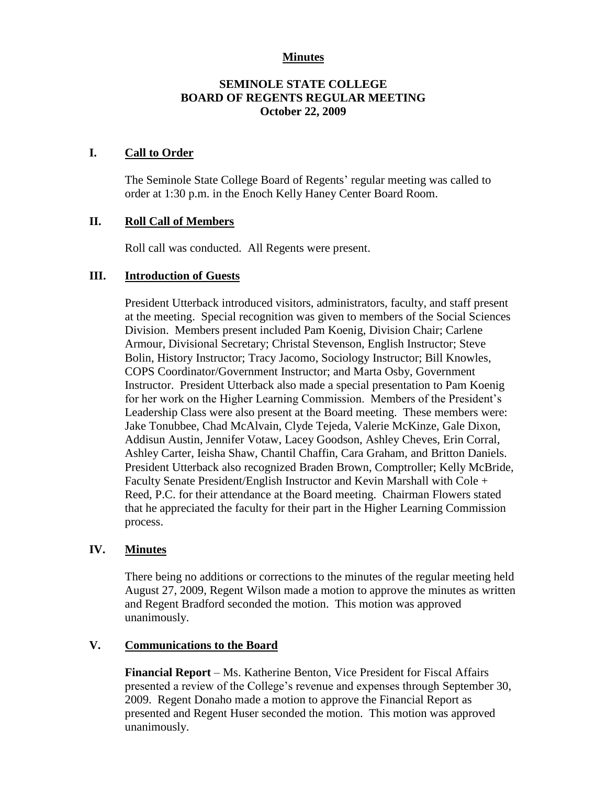# **Minutes**

# **SEMINOLE STATE COLLEGE BOARD OF REGENTS REGULAR MEETING October 22, 2009**

## **I. Call to Order**

The Seminole State College Board of Regents' regular meeting was called to order at 1:30 p.m. in the Enoch Kelly Haney Center Board Room.

## **II. Roll Call of Members**

Roll call was conducted. All Regents were present.

#### **III. Introduction of Guests**

President Utterback introduced visitors, administrators, faculty, and staff present at the meeting. Special recognition was given to members of the Social Sciences Division. Members present included Pam Koenig, Division Chair; Carlene Armour, Divisional Secretary; Christal Stevenson, English Instructor; Steve Bolin, History Instructor; Tracy Jacomo, Sociology Instructor; Bill Knowles, COPS Coordinator/Government Instructor; and Marta Osby, Government Instructor. President Utterback also made a special presentation to Pam Koenig for her work on the Higher Learning Commission. Members of the President's Leadership Class were also present at the Board meeting. These members were: Jake Tonubbee, Chad McAlvain, Clyde Tejeda, Valerie McKinze, Gale Dixon, Addisun Austin, Jennifer Votaw, Lacey Goodson, Ashley Cheves, Erin Corral, Ashley Carter, Ieisha Shaw, Chantil Chaffin, Cara Graham, and Britton Daniels. President Utterback also recognized Braden Brown, Comptroller; Kelly McBride, Faculty Senate President/English Instructor and Kevin Marshall with Cole + Reed, P.C. for their attendance at the Board meeting. Chairman Flowers stated that he appreciated the faculty for their part in the Higher Learning Commission process.

## **IV. Minutes**

There being no additions or corrections to the minutes of the regular meeting held August 27, 2009, Regent Wilson made a motion to approve the minutes as written and Regent Bradford seconded the motion. This motion was approved unanimously.

## **V. Communications to the Board**

**Financial Report** – Ms. Katherine Benton, Vice President for Fiscal Affairs presented a review of the College's revenue and expenses through September 30, 2009. Regent Donaho made a motion to approve the Financial Report as presented and Regent Huser seconded the motion. This motion was approved unanimously.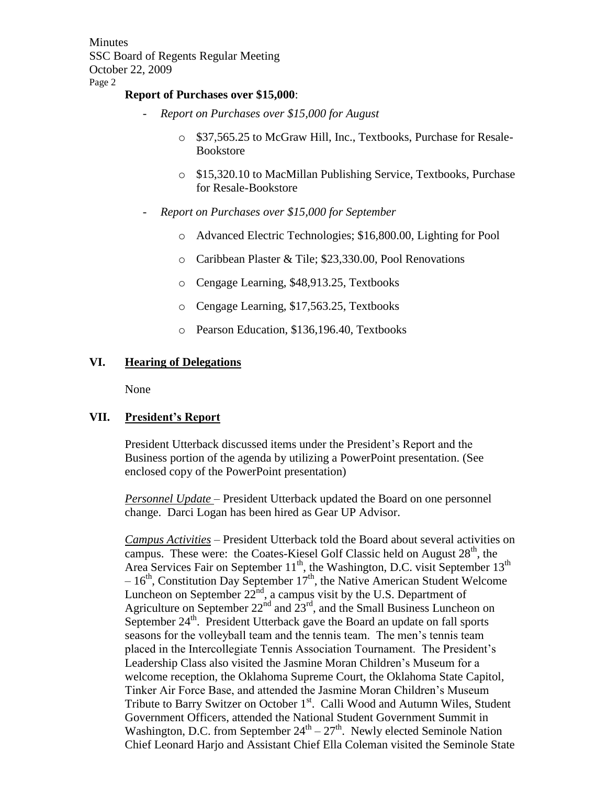**Minutes** SSC Board of Regents Regular Meeting October 22, 2009 Page 2

#### **Report of Purchases over \$15,000**:

- *Report on Purchases over \$15,000 for August*
	- o \$37,565.25 to McGraw Hill, Inc., Textbooks, Purchase for Resale-Bookstore
	- o \$15,320.10 to MacMillan Publishing Service, Textbooks, Purchase for Resale-Bookstore
- *Report on Purchases over \$15,000 for September*
	- o Advanced Electric Technologies; \$16,800.00, Lighting for Pool
	- o Caribbean Plaster & Tile; \$23,330.00, Pool Renovations
	- o Cengage Learning, \$48,913.25, Textbooks
	- o Cengage Learning, \$17,563.25, Textbooks
	- o Pearson Education, \$136,196.40, Textbooks

## **VI. Hearing of Delegations**

None

## **VII. President's Report**

President Utterback discussed items under the President's Report and the Business portion of the agenda by utilizing a PowerPoint presentation. (See enclosed copy of the PowerPoint presentation)

*Personnel Update* – President Utterback updated the Board on one personnel change. Darci Logan has been hired as Gear UP Advisor.

*Campus Activities* – President Utterback told the Board about several activities on campus. These were: the Coates-Kiesel Golf Classic held on August  $28<sup>th</sup>$ , the Area Services Fair on September  $11^{th}$ , the Washington, D.C. visit September  $13^{th}$  $-16<sup>th</sup>$ , Constitution Day September 17<sup>th</sup>, the Native American Student Welcome Luncheon on September  $22^{nd}$ , a campus visit by the U.S. Department of Agriculture on September  $22<sup>nd</sup>$  and  $23<sup>rd</sup>$ , and the Small Business Luncheon on September  $24<sup>th</sup>$ . President Utterback gave the Board an update on fall sports seasons for the volleyball team and the tennis team. The men's tennis team placed in the Intercollegiate Tennis Association Tournament. The President's Leadership Class also visited the Jasmine Moran Children's Museum for a welcome reception, the Oklahoma Supreme Court, the Oklahoma State Capitol, Tinker Air Force Base, and attended the Jasmine Moran Children's Museum Tribute to Barry Switzer on October 1<sup>st</sup>. Calli Wood and Autumn Wiles, Student Government Officers, attended the National Student Government Summit in Washington, D.C. from September  $24^{th} - 27^{th}$ . Newly elected Seminole Nation Chief Leonard Harjo and Assistant Chief Ella Coleman visited the Seminole State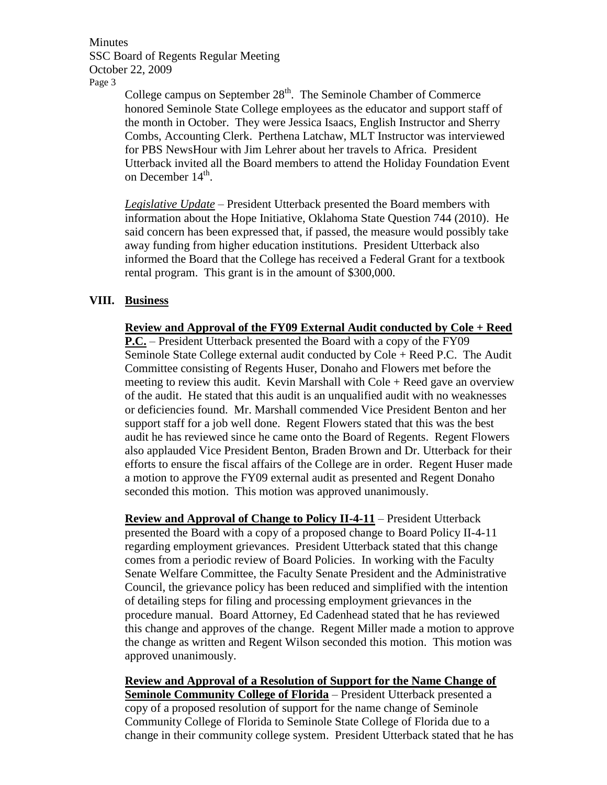**Minutes** SSC Board of Regents Regular Meeting October 22, 2009 Page 3

College campus on September  $28<sup>th</sup>$ . The Seminole Chamber of Commerce honored Seminole State College employees as the educator and support staff of the month in October. They were Jessica Isaacs, English Instructor and Sherry Combs, Accounting Clerk. Perthena Latchaw, MLT Instructor was interviewed for PBS NewsHour with Jim Lehrer about her travels to Africa. President Utterback invited all the Board members to attend the Holiday Foundation Event on December 14<sup>th</sup>.

*Legislative Update* – President Utterback presented the Board members with information about the Hope Initiative, Oklahoma State Question 744 (2010). He said concern has been expressed that, if passed, the measure would possibly take away funding from higher education institutions. President Utterback also informed the Board that the College has received a Federal Grant for a textbook rental program. This grant is in the amount of \$300,000.

# **VIII. Business**

**Review and Approval of the FY09 External Audit conducted by Cole + Reed P.C.** – President Utterback presented the Board with a copy of the FY09 Seminole State College external audit conducted by Cole + Reed P.C. The Audit Committee consisting of Regents Huser, Donaho and Flowers met before the meeting to review this audit. Kevin Marshall with Cole + Reed gave an overview of the audit. He stated that this audit is an unqualified audit with no weaknesses or deficiencies found. Mr. Marshall commended Vice President Benton and her support staff for a job well done. Regent Flowers stated that this was the best audit he has reviewed since he came onto the Board of Regents. Regent Flowers also applauded Vice President Benton, Braden Brown and Dr. Utterback for their efforts to ensure the fiscal affairs of the College are in order. Regent Huser made a motion to approve the FY09 external audit as presented and Regent Donaho seconded this motion. This motion was approved unanimously.

**Review and Approval of Change to Policy II-4-11** – President Utterback presented the Board with a copy of a proposed change to Board Policy II-4-11 regarding employment grievances. President Utterback stated that this change comes from a periodic review of Board Policies. In working with the Faculty Senate Welfare Committee, the Faculty Senate President and the Administrative Council, the grievance policy has been reduced and simplified with the intention of detailing steps for filing and processing employment grievances in the procedure manual. Board Attorney, Ed Cadenhead stated that he has reviewed this change and approves of the change. Regent Miller made a motion to approve the change as written and Regent Wilson seconded this motion. This motion was approved unanimously.

**Review and Approval of a Resolution of Support for the Name Change of <u>Seminole Community College of Florida</u>** – President Utterback presented a copy of a proposed resolution of support for the name change of Seminole Community College of Florida to Seminole State College of Florida due to a change in their community college system. President Utterback stated that he has